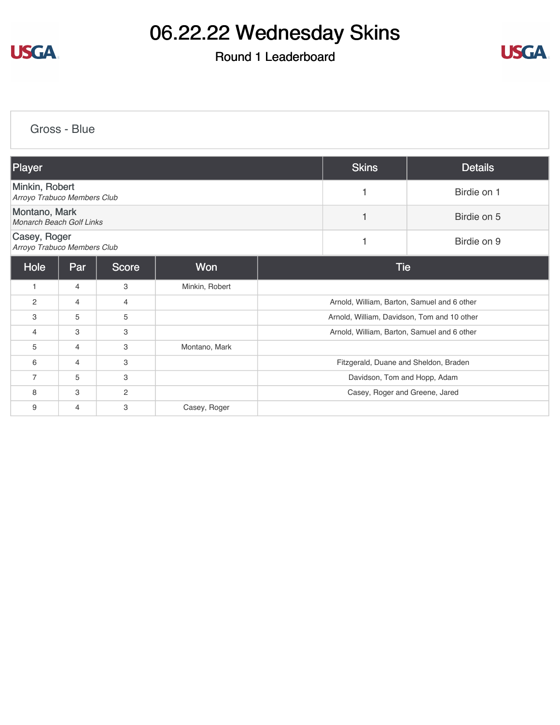

# 06.22.22 Wednesday Skins

### Round 1 Leaderboard



[Gross - Blue](https://static.golfgenius.com/v2tournaments/8587905096807899400?called_from=&round_index=1)

| Player                                        |                |                |                |  | <b>Skins</b>                                | <b>Details</b> |
|-----------------------------------------------|----------------|----------------|----------------|--|---------------------------------------------|----------------|
| Minkin, Robert<br>Arroyo Trabuco Members Club |                |                |                |  |                                             | Birdie on 1    |
| Montano, Mark<br>Monarch Beach Golf Links     |                |                |                |  |                                             | Birdie on 5    |
| Casey, Roger<br>Arroyo Trabuco Members Club   |                |                |                |  | 1                                           | Birdie on 9    |
| Hole                                          | Par            | <b>Score</b>   | Won            |  | <b>Tie</b>                                  |                |
| $\mathbf{1}$                                  | $\overline{4}$ | 3              | Minkin, Robert |  |                                             |                |
| $\overline{c}$                                | $\overline{4}$ | 4              |                |  | Arnold, William, Barton, Samuel and 6 other |                |
| 3                                             | 5              | 5              |                |  | Arnold, William, Davidson, Tom and 10 other |                |
| $\overline{4}$                                | 3              | 3              |                |  | Arnold, William, Barton, Samuel and 6 other |                |
| 5                                             | $\overline{4}$ | 3              | Montano, Mark  |  |                                             |                |
| 6                                             | 4              | 3              |                |  | Fitzgerald, Duane and Sheldon, Braden       |                |
| $\overline{7}$                                | 5              | 3              |                |  | Davidson, Tom and Hopp, Adam                |                |
| 8                                             | 3              | $\overline{2}$ |                |  | Casey, Roger and Greene, Jared              |                |
| 9                                             | $\overline{4}$ | 3              | Casey, Roger   |  |                                             |                |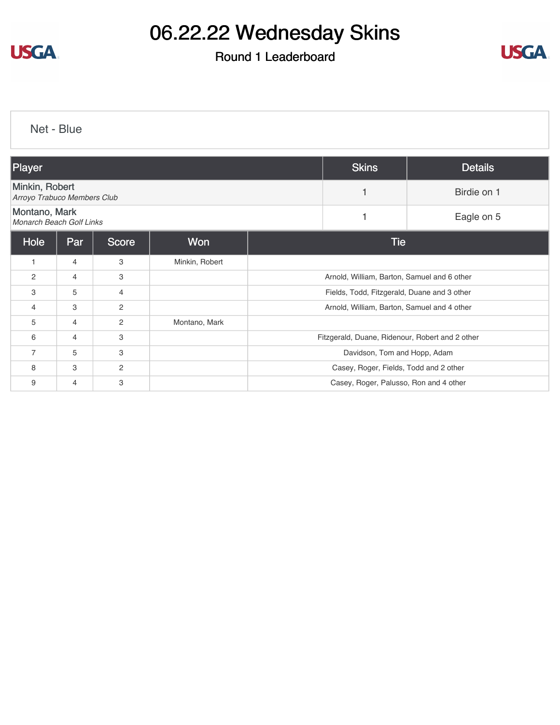

# 06.22.22 Wednesday Skins

### Round 1 Leaderboard



[Net - Blue](https://static.golfgenius.com/v2tournaments/8587906595550159119?called_from=&round_index=1)

| Player                                        |                |                |                | <b>Skins</b>                           | <b>Details</b>                                  |             |
|-----------------------------------------------|----------------|----------------|----------------|----------------------------------------|-------------------------------------------------|-------------|
| Minkin, Robert<br>Arroyo Trabuco Members Club |                |                |                |                                        |                                                 | Birdie on 1 |
| Montano, Mark<br>Monarch Beach Golf Links     |                |                |                |                                        |                                                 | Eagle on 5  |
| Hole                                          | Par            | <b>Score</b>   | <b>Won</b>     |                                        | <b>Tie</b>                                      |             |
| 1                                             | $\overline{4}$ | 3              | Minkin, Robert |                                        |                                                 |             |
| 2                                             | 4              | 3              |                |                                        | Arnold, William, Barton, Samuel and 6 other     |             |
| 3                                             | 5              | $\overline{4}$ |                |                                        | Fields, Todd, Fitzgerald, Duane and 3 other     |             |
| 4                                             | 3              | $\overline{2}$ |                |                                        | Arnold, William, Barton, Samuel and 4 other     |             |
| 5                                             | $\overline{4}$ | $\overline{2}$ | Montano, Mark  |                                        |                                                 |             |
| 6                                             | 4              | 3              |                |                                        | Fitzgerald, Duane, Ridenour, Robert and 2 other |             |
| $\overline{7}$                                | 5              | 3              |                |                                        | Davidson, Tom and Hopp, Adam                    |             |
| 8                                             | 3              | $\overline{2}$ |                | Casey, Roger, Fields, Todd and 2 other |                                                 |             |
| 9                                             | 4              | 3              |                | Casey, Roger, Palusso, Ron and 4 other |                                                 |             |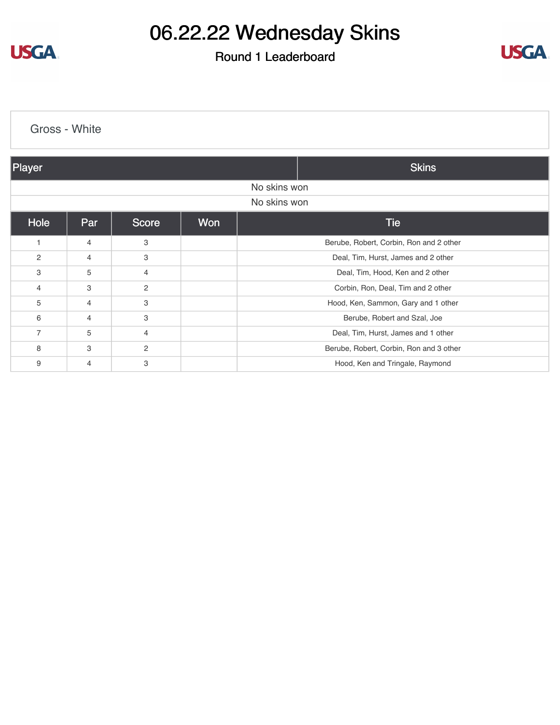**USGA** 

# 06.22.22 Wednesday Skins

#### Round 1 Leaderboard



| Gross - White         |                |                |     |                                         |  |  |
|-----------------------|----------------|----------------|-----|-----------------------------------------|--|--|
| Player                |                |                |     | <b>Skins</b>                            |  |  |
|                       | No skins won   |                |     |                                         |  |  |
|                       | No skins won   |                |     |                                         |  |  |
| Hole                  | Par            | <b>Score</b>   | Won | <b>Tie</b>                              |  |  |
| 1                     | 4              | 3              |     | Berube, Robert, Corbin, Ron and 2 other |  |  |
| $\mathbf{2}^{\prime}$ | $\overline{4}$ | 3              |     | Deal, Tim, Hurst, James and 2 other     |  |  |
| 3                     | 5              | $\overline{4}$ |     | Deal, Tim, Hood, Ken and 2 other        |  |  |
| 4                     | 3              | $\mathbf{2}$   |     | Corbin, Ron, Deal, Tim and 2 other      |  |  |
| 5                     | 4              | 3              |     | Hood, Ken, Sammon, Gary and 1 other     |  |  |
| 6                     | 4              | 3              |     | Berube, Robert and Szal, Joe            |  |  |
| $\overline{7}$        | 5              | 4              |     | Deal, Tim, Hurst, James and 1 other     |  |  |
| 8                     | 3              | 2              |     | Berube, Robert, Corbin, Ron and 3 other |  |  |
| 9                     | 4              | 3              |     | Hood, Ken and Tringale, Raymond         |  |  |